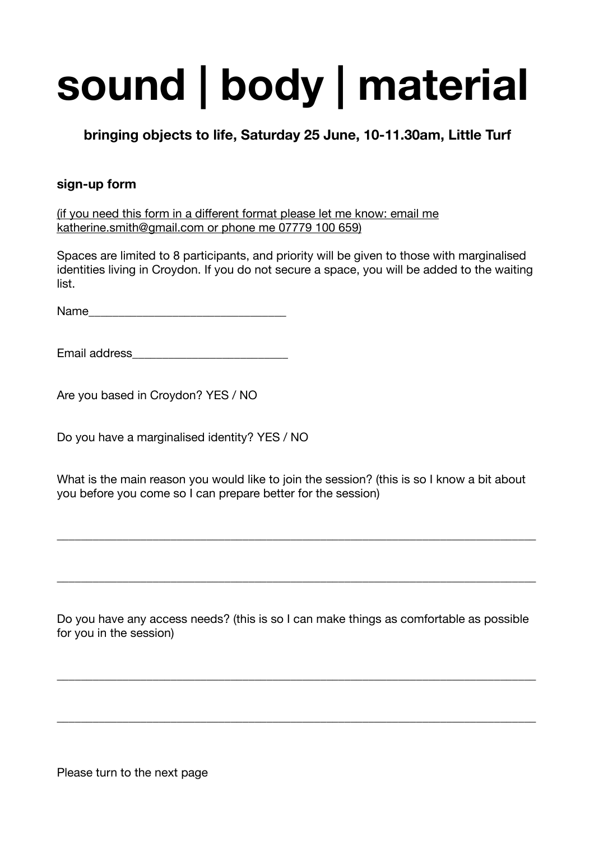## **sound | body | material**

**bringing objects to life, Saturday 25 June, 10-11.30am, Little Turf** 

## **sign-up form**

(if you need this form in a different format please let me know: email me [katherine.smith@gmail.com](mailto:katherine.smith@gmail.com) or phone me 07779 100 659)

Spaces are limited to 8 participants, and priority will be given to those with marginalised identities living in Croydon. If you do not secure a space, you will be added to the waiting list.

Name

Email address\_\_\_\_\_\_\_\_\_\_\_\_\_\_\_\_\_\_\_\_\_\_\_\_\_\_

Are you based in Croydon? YES / NO

Do you have a marginalised identity? YES / NO

What is the main reason you would like to join the session? (this is so I know a bit about you before you come so I can prepare better for the session)

\_\_\_\_\_\_\_\_\_\_\_\_\_\_\_\_\_\_\_\_\_\_\_\_\_\_\_\_\_\_\_\_\_\_\_\_\_\_\_\_\_\_\_\_\_\_\_\_\_\_\_\_\_\_\_\_\_\_\_\_\_\_\_\_\_\_\_\_\_\_\_\_\_\_\_\_\_\_\_\_

\_\_\_\_\_\_\_\_\_\_\_\_\_\_\_\_\_\_\_\_\_\_\_\_\_\_\_\_\_\_\_\_\_\_\_\_\_\_\_\_\_\_\_\_\_\_\_\_\_\_\_\_\_\_\_\_\_\_\_\_\_\_\_\_\_\_\_\_\_\_\_\_\_\_\_\_\_\_\_\_

Do you have any access needs? (this is so I can make things as comfortable as possible for you in the session)

\_\_\_\_\_\_\_\_\_\_\_\_\_\_\_\_\_\_\_\_\_\_\_\_\_\_\_\_\_\_\_\_\_\_\_\_\_\_\_\_\_\_\_\_\_\_\_\_\_\_\_\_\_\_\_\_\_\_\_\_\_\_\_\_\_\_\_\_\_\_\_\_\_\_\_\_\_\_\_\_

\_\_\_\_\_\_\_\_\_\_\_\_\_\_\_\_\_\_\_\_\_\_\_\_\_\_\_\_\_\_\_\_\_\_\_\_\_\_\_\_\_\_\_\_\_\_\_\_\_\_\_\_\_\_\_\_\_\_\_\_\_\_\_\_\_\_\_\_\_\_\_\_\_\_\_\_\_\_\_\_

Please turn to the next page